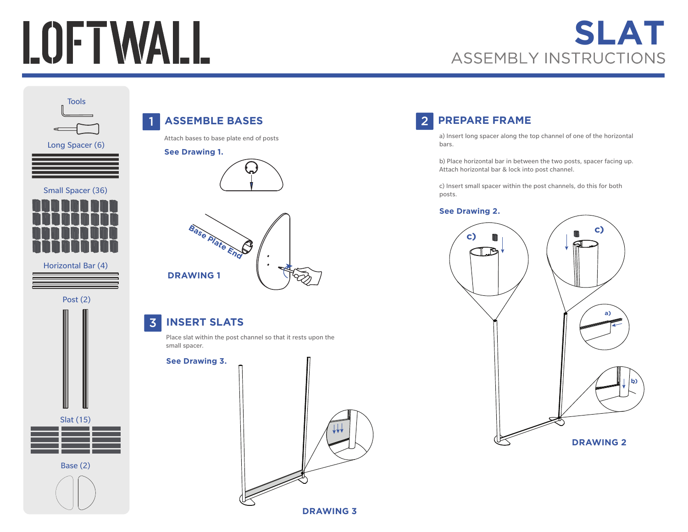# LOFTWALL

# **SLAT**<br>ASSEMBLY INSTRUCTIONS







Post (2)



### 1 **ASSEMBLE BASES**

Attach bases to base plate end of posts

#### **See Drawing 1.**





### 3 **INSERT SLATS**

Place slat within the post channel so that it rests upon the small spacer.

#### **See Drawing 3.**



## 2 **PREPARE FRAME**

a) Insert long spacer along the top channel of one of the horizontal bars.

b) Place horizontal bar in between the two posts, spacer facing up. Attach horizontal bar & lock into post channel.

c) Insert small spacer within the post channels, do this for both posts.

#### **See Drawing 2.**